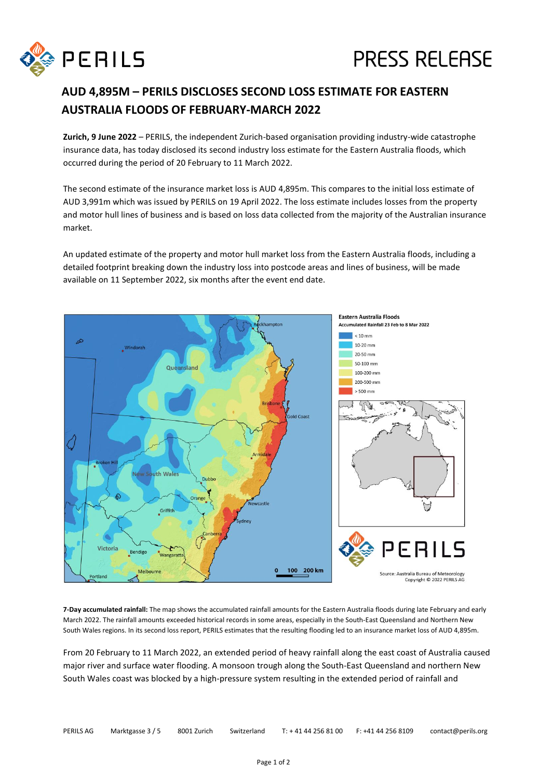

## **PRESS RELEASE**

## **AUD 4,895M – PERILS DISCLOSES SECOND LOSS ESTIMATE FOR EASTERN AUSTRALIA FLOODS OF FEBRUARY-MARCH 2022**

**Zurich, 9 June 2022** – PERILS, the independent Zurich-based organisation providing industry-wide catastrophe insurance data, has today disclosed its second industry loss estimate for the Eastern Australia floods, which occurred during the period of 20 February to 11 March 2022.

The second estimate of the insurance market loss is AUD 4,895m. This compares to the initial loss estimate of AUD 3,991m which was issued by PERILS on 19 April 2022. The loss estimate includes losses from the property and motor hull lines of business and is based on loss data collected from the majority of the Australian insurance market.

An updated estimate of the property and motor hull market loss from the Eastern Australia floods, including a detailed footprint breaking down the industry loss into postcode areas and lines of business, will be made available on 11 September 2022, six months after the event end date.



**7-Day accumulated rainfall:** The map shows the accumulated rainfall amounts for the Eastern Australia floods during late February and early March 2022. The rainfall amounts exceeded historical records in some areas, especially in the South-East Queensland and Northern New South Wales regions. In its second loss report, PERILS estimates that the resulting flooding led to an insurance market loss of AUD 4,895m.

From 20 February to 11 March 2022, an extended period of heavy rainfall along the east coast of Australia caused major river and surface water flooding. A monsoon trough along the South-East Queensland and northern New South Wales coast was blocked by a high-pressure system resulting in the extended period of rainfall and